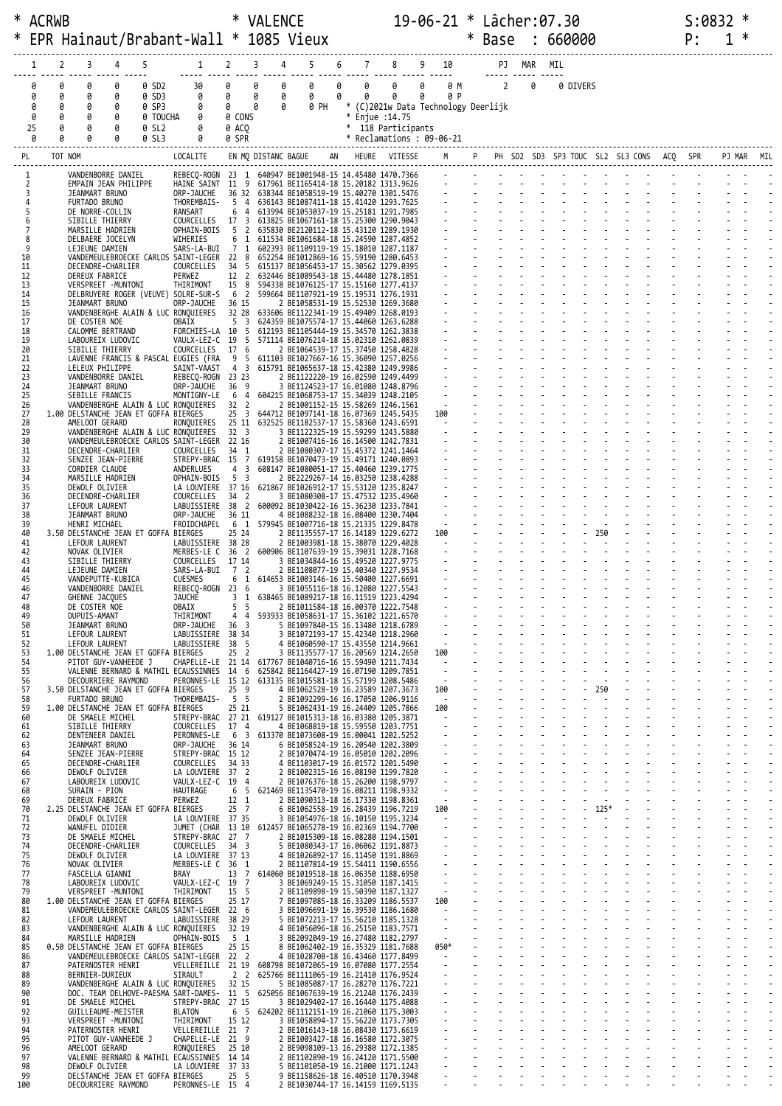| $^{\ast}$ | <b>ACRWB</b> |         |                                                                                    |                                                          |                                  | <b>VALENCE</b>      |                                                                                  |        |        |                                       | 19-06-21 * Lâcher:07.30                        |   |               |        |     |          |        |  | S:0832 |            |  |
|-----------|--------------|---------|------------------------------------------------------------------------------------|----------------------------------------------------------|----------------------------------|---------------------|----------------------------------------------------------------------------------|--------|--------|---------------------------------------|------------------------------------------------|---|---------------|--------|-----|----------|--------|--|--------|------------|--|
|           |              |         | EPR Hainaut/Brabant-Wall * 1085 Vieux                                              |                                                          |                                  |                     |                                                                                  |        |        |                                       |                                                | ∗ | Base : 660000 |        |     |          |        |  | P:     |            |  |
|           |              | 2       | 5<br>3<br>4                                                                        | $\mathbf{1}$                                             | 2                                | 3<br>4              | 5                                                                                |        |        |                                       |                                                |   |               |        | MIL |          |        |  |        |            |  |
|           | 1            |         |                                                                                    |                                                          |                                  |                     |                                                                                  |        |        |                                       |                                                |   |               | PJ MAR |     |          |        |  |        |            |  |
|           | 0<br>0       | 0<br>0  | 0<br>0<br>0 SD2<br>0<br>0<br>0 SD3                                                 | 30<br>0                                                  | 0<br>0                           | 0<br>0<br>0<br>0    | 0<br>0                                                                           | 0<br>0 | 0<br>0 | $\theta$ $\theta$<br>$0$ $0$          | 0 P                                            |   | 0 M 2         | 0      |     | 0 DIVERS |        |  |        |            |  |
|           | 0            | 0       | 0<br>0<br>0 SP3                                                                    | 0                                                        | $\theta$                         | 0<br>0              | 0 PH                                                                             |        |        |                                       | * (C)2021w Data Technology Deerlijk            |   |               |        |     |          |        |  |        |            |  |
|           | 0<br>25      | 0       | 0<br>0<br>0<br>0 SL2                                                               | 0 TOUCHA<br>0<br>0                                       | 0 CONS<br>0 ACQ                  |                     |                                                                                  |        |        | * Enjue : 14.75<br>* 118 Participants |                                                |   |               |        |     |          |        |  |        |            |  |
|           | 0            |         | a<br>0 SL3                                                                         | 0                                                        | 0 SPR                            |                     |                                                                                  |        |        |                                       | $*$ Reclamations : 09-06-21                    |   |               |        |     |          |        |  |        |            |  |
| PL        |              | TOT NOM |                                                                                    | LOCALITE                                                 |                                  | EN MQ DISTANC BAGUE |                                                                                  |        |        |                                       |                                                |   |               |        |     |          |        |  |        | PJ MAR MIL |  |
|           |              |         | VANDENBORRE DANIEL                                                                 | REBECQ-ROGN 23 1 640947 BE1001948-15 14.45480 1470.7366  |                                  |                     |                                                                                  |        |        |                                       | and the state of the state of the state of the |   |               |        |     |          |        |  |        |            |  |
|           | 3            |         | EMPAIN JEAN PHILIPPE<br>JEANMART BRUNO                                             | HAINE SAINT 11 9<br>ORP-JAUCHE                           | 36 32                            |                     | 617961 BE1165414-18 15.20182 1313.9626<br>638344 BE1058519-19 15.40270 1301.5476 |        |        |                                       |                                                |   |               |        |     |          |        |  |        |            |  |
|           |              |         | FURTADO BRUNO                                                                      | THOREMBAIS-                                              | 54                               |                     | 636143 BE1087411-18 15.41420 1293.7625                                           |        |        |                                       |                                                |   |               |        |     |          |        |  |        |            |  |
|           | 6            |         | DE NORRE-COLLIN<br>SIBILLE THIERRY                                                 | RANSART<br>COURCELLES                                    | 4<br>6<br>17 3                   |                     | 613994 BE1053037-19 15.25181 1291.7985<br>613825 BE1067161-18 15.25300 1290.9043 |        |        |                                       |                                                |   |               |        |     |          |        |  |        |            |  |
| 8         |              |         | MARSILLE HADRIEN<br>DELBAERE JOCELYN                                               | OPHAIN-BOIS<br>WIHERIES                                  | 5 2<br>61                        |                     | 635830 BE2120112-18 15.43120 1289.1930<br>611534 BE1061684-18 15.24590 1287.4852 |        |        |                                       |                                                |   |               |        |     |          |        |  |        |            |  |
| 10        | 9            |         | LEJEUNE DAMIEN<br>VANDEMEULEBROECKE CARLOS SAINT-LEGER                             | SARS-LA-BUI                                              | 7 1<br>22 8                      |                     | 602393 BE1109119-19 15.18010 1287.1187<br>652254 BE1012869-16 15.59190 1280.6453 |        |        |                                       |                                                |   |               |        |     |          |        |  |        |            |  |
| 11        |              |         | DECENDRE-CHARLIER                                                                  | COURCELLES                                               | 34 5                             |                     | 615137 BE1056453-17 15.30562 1279.0395                                           |        |        |                                       |                                                |   |               |        |     |          |        |  |        |            |  |
| 12<br>13  |              |         | DEREUX FABRICE<br>VERSPREET -MUNTONI                                               | PERWEZ<br>THIRIMONT                                      | 12 2<br>15 8                     |                     | 632446 BE1089543-18 15.44480 1278.1851<br>594338 BE1076125-17 15.15160 1277.4137 |        |        |                                       | $\mathbb{S}^1 \times \mathbb{S}^1$ .           |   |               |        |     |          |        |  |        |            |  |
| 14<br>15  |              |         | DELBRUYERE ROGER (VEUVE) SOLRE-SUR-S<br>JEANMART BRUNO                             | ORP-JAUCHE                                               | 6 2<br>36 15                     |                     | 599664 BE1107921-19 15.19531 1276.1931<br>2 BE1058531-19 15.52530 1269.3680      |        |        |                                       |                                                |   |               |        |     |          |        |  |        |            |  |
| 16<br>17  |              |         | VANDENBERGHE ALAIN & LUC RONQUIERES<br>DE COSTER NOE                               | OBAIX                                                    | 32 28<br>5<br>- 3                |                     | 633606 BE1122341-19 15.49409 1268.0193<br>624359 BE1075574-17 15.44060 1263.6288 |        |        |                                       |                                                |   |               |        |     |          |        |  |        |            |  |
| 18        |              |         | CALOMME BERTRAND                                                                   | FORCHIES-LA 10                                           | - 5                              |                     | 612193 BE1105444-19 15.34570 1262.3838                                           |        |        |                                       |                                                |   |               |        |     |          |        |  |        |            |  |
| 19<br>20  |              |         | LABOUREIX LUDOVIC<br>SIBILLE THIERRY                                               | VAULX-LEZ-C<br>COURCELLES                                | 19 5<br>17 6                     |                     | 571114 BE1076214-18 15.02310 1262.0839<br>2 BE1064539-17 15.37450 1258.4828      |        |        |                                       |                                                |   |               |        |     |          |        |  |        |            |  |
| 21<br>22  |              |         | LAVENNE FRANCIS & PASCAL EUGIES (FRA<br>LELEUX PHILIPPE                            | SAINT-VAAST                                              | 95<br>43                         |                     | 611103 BE1027667-16 15.36090 1257.0256<br>615791 BE1065637-18 15.42380 1249.9986 |        |        |                                       |                                                |   |               |        |     |          |        |  |        |            |  |
| 23<br>24  |              |         | VANDENBORRE DANIEL<br>JEANMART BRUNO                                               | REBECQ-ROGN<br>ORP-JAUCHE                                | 23 23<br>36 9                    |                     | 2 BE1122220-19 16.02590 1249.4499<br>3 BE1124523-17 16.01080 1248.8796           |        |        |                                       |                                                |   |               |        |     |          |        |  |        |            |  |
| 25        |              |         | SEBILLE FRANCIS                                                                    | MONTIGNY-LE                                              | 64                               |                     | 604215 BE1068753-17 15.34039 1248.2105                                           |        |        |                                       |                                                |   |               |        |     |          |        |  |        |            |  |
| 26<br>27  |              |         | VANDENBERGHE ALAIN & LUC RONQUIERES<br>1.00 DELSTANCHE JEAN ET GOFFA BIERGES       |                                                          | 32 2<br>$25 \quad 3$             |                     | 2 BE1001152-15 15.58269 1246.1561<br>644712 BE1097141-18 16.07369 1245.5435      |        |        |                                       | and the state of<br>100                        |   |               |        |     |          |        |  |        |            |  |
| 28<br>29  |              |         | AMELOOT GERARD<br>VANDENBERGHE ALAIN & LUC RONQUIERES                              | RONQUIERES                                               | 25 11<br>32 <sup>3</sup>         |                     | 632525 BE1182537-17 15.58360 1243.6591<br>3 BE1122325-19 15.59299 1243.5880      |        |        |                                       | <b>Contract</b>                                |   |               |        |     |          |        |  |        |            |  |
| 30<br>31  |              |         | VANDEMEULEBROECKE CARLOS SAINT-LEGER                                               |                                                          | 22 16<br>34 1                    |                     | 2 BE1007416-16 16.14500 1242.7831                                                |        |        |                                       |                                                |   |               |        |     |          |        |  |        |            |  |
| 32        |              |         | DECENDRE-CHARLIER<br>SENZEE JEAN-PIERRE                                            | COURCELLES<br>STREPY-BRAC 15 7                           |                                  |                     | 2 BE1080307-17 15.45372 1241.1464<br>619158 BE1070473-19 15.49171 1240.0893      |        |        |                                       |                                                |   |               |        |     |          |        |  |        |            |  |
| 33<br>34  |              |         | CORDIER CLAUDE<br>MARSILLE HADRIEN                                                 | ANDERLUES<br>OPHAIN-BOIS                                 | 4 <sup>3</sup><br>5 <sub>3</sub> |                     | 608147 BE1080051-17 15.40460 1239.1775<br>2 BE2229267-14 16.03250 1238.4288      |        |        |                                       |                                                |   |               |        |     |          |        |  |        |            |  |
| 35<br>36  |              |         | DEWOLF OLIVIER<br>DECENDRE-CHARLIER                                                | LA LOUVIERE<br>COURCELLES                                | 37 16<br>34 2                    |                     | 621867 BE1026912-17 15.53120 1235.8247<br>3 BE1080308-17 15.47532 1235.4960      |        |        |                                       |                                                |   |               |        |     |          |        |  |        |            |  |
| 37        |              |         | LEFOUR LAURENT                                                                     | LABUISSIERE                                              | 38 2                             |                     | 600092 BE1030422-16 15.36230 1233.7841                                           |        |        |                                       | $\mathbb{C}^{\times}$                          |   |               |        |     |          |        |  |        |            |  |
| 38<br>39  |              |         | JEANMART BRUNO<br>HENRI MICHAEL                                                    | ORP-JAUCHE<br>FROIDCHAPEL                                | 36 11<br>6 1                     |                     | 4 BE1088232-18 16.08400 1230.7404<br>579945 BE1007716-18 15.21335 1229.8478      |        |        |                                       |                                                |   |               |        |     |          |        |  |        |            |  |
| 40<br>41  |              |         | 3.50 DELSTANCHE JEAN ET GOFFA BIERGES<br>LEFOUR LAURENT                            | LABUISSIERE                                              | 25 24<br>38 28                   |                     | 2 BE1135557-17 16.14189 1229.6272<br>2 BE1003981-18 15.38070 1229.4028           |        |        |                                       | 100<br>$\sim 10^{-1}$                          |   |               |        |     | 250      |        |  |        |            |  |
| 42<br>43  |              |         | NOVAK OLIVIER<br>SIBILLE THIERRY                                                   | MERBES-LE C<br>COURCELLES                                | 36 <sub>2</sub><br>17 14         |                     | 600906 BE1107639-19 15.39031 1228.7168<br>3 BE1034844-16 15.49520 1227.9775      |        |        |                                       |                                                |   |               |        |     |          |        |  |        |            |  |
| 44        |              |         | LEJEUNE DAMIEN                                                                     | SARS-LA-BUI                                              | 7 2                              |                     | 2 BE1108077-19 15.40340 1227.9534                                                |        |        |                                       |                                                |   |               |        |     |          |        |  |        |            |  |
| 45<br>46  |              |         | VANDEPUTTE-KUBICA<br>VANDENBORRE DANIEL                                            | <b>CUESMES</b><br>REBECQ-ROGN 23 6                       |                                  |                     | 6 1 614653 BE1003146-16 15.50400 1227.6691<br>3 BE1055116-18 16.12080 1227.5543  |        |        |                                       |                                                |   |               |        |     |          |        |  |        |            |  |
| 47<br>48  |              |         | GHENNE JACQUES<br>DE COSTER NOE                                                    | <b>JAUCHE</b><br>OBAIX                                   | 3 1<br>5 5                       |                     | 638465 BE1089217-18 16.11519 1223.4294<br>2 BE1011584-18 16.00370 1222.7548      |        |        |                                       |                                                |   |               |        |     |          |        |  |        |            |  |
| 49<br>50  |              |         | DUPUIS-AMANT<br>JEANMART BRUNO                                                     | THIRIMONT<br>ORP-JAUCHE                                  | 4<br>- 4<br>36 <sup>3</sup>      |                     | 593933 BE1058631-17 15.36102 1221.6570<br>5 BE1097840-15 16.13480 1218.6789      |        |        |                                       |                                                |   |               |        |     |          |        |  |        |            |  |
| 51        |              |         | LEFOUR LAURENT                                                                     | LABUISSIERE                                              | 38 34                            |                     | 3 BE1072193-17 15.42340 1218.2960                                                |        |        |                                       | $\blacksquare$                                 |   |               |        |     |          |        |  |        |            |  |
| 52<br>53  |              |         | LEFOUR LAURENT<br>1.00 DELSTANCHE JEAN ET GOFFA BIERGES                            | LABUISSIERE                                              | 38 5<br>25 2                     |                     | 4 BE1060590-17 15.43550 1214.9661<br>3 BE1135577-17 16.20569 1214.2650           |        |        |                                       | 100                                            |   |               |        |     |          |        |  |        |            |  |
| 54<br>55  |              |         | PITOT GUY-VANHEEDE J<br>VALENNE BERNARD & MATHIL ECAUSSINNES 14 6                  | CHAPELLE-LE 21 14 617767 BE1040716-16 15.59490 1211.7434 |                                  |                     | 625842 BE1164427-19 16.07190 1209.7851                                           |        |        |                                       | $\sim$                                         |   |               |        |     |          |        |  |        |            |  |
| 56<br>57  |              |         | DECOURRIERE RAYMOND<br>3.50 DELSTANCHE JEAN ET GOFFA BIERGES                       | PERONNES-LE 15 12                                        |                                  |                     | 613135 BE1015581-18 15.57199 1208.5486<br>4 BE1062528-19 16.23589 1207.3673      |        |        |                                       | $\sim$                                         |   |               |        |     | 250      |        |  |        |            |  |
| 58        |              |         | FURTADO BRUNO                                                                      | THOREMBAIS-                                              | 25 9<br>5 5                      |                     | 2 BE1092299-16 16.17050 1206.9116                                                |        |        |                                       | 100<br>$\sim$                                  |   |               |        |     |          |        |  |        |            |  |
| 59<br>60  |              |         | 1.00 DELSTANCHE JEAN ET GOFFA BIERGES<br>DE SMAELE MICHEL                          | STREPY-BRAC 27 21 619127 BE1015313-18 16.03380 1205.3871 | 25 21                            |                     | 5 BE1062431-19 16.24409 1205.7866                                                |        |        |                                       | 100<br>$\sim$                                  |   |               |        |     |          |        |  |        |            |  |
| 61<br>62  |              |         | SIBILLE THIERRY<br>DENTENEER DANIEL                                                | COURCELLES<br>PERONNES-LE                                | 17 4<br>63                       |                     | 4 BE1068819-18 15.59550 1203.7751<br>613370 BE1073608-19 16.00041 1202.5252      |        |        |                                       |                                                |   |               |        |     |          |        |  |        |            |  |
| 63        |              |         | JEANMART BRUNO                                                                     | ORP-JAUCHE                                               | 36 14                            |                     | 6 BE1058524-19 16.20540 1202.3809                                                |        |        |                                       |                                                |   |               |        |     |          |        |  |        |            |  |
| 64<br>65  |              |         | SENZEE JEAN-PIERRE<br>DECENDRE-CHARLIER                                            | STREPY-BRAC 15 12<br>COURCELLES                          | 34 33                            |                     | 2 BE1070474-19 16.05010 1202.2096<br>4 BE1103017-19 16.01572 1201.5490           |        |        |                                       |                                                |   |               |        |     |          |        |  |        |            |  |
| 66<br>67  |              |         | DEWOLF OLIVIER<br>LABOUREIX LUDOVIC                                                | LA LOUVIERE 37 2<br>VAULX-LEZ-C 19 4                     |                                  |                     | 2 BE1002315-16 16.08190 1199.7820<br>2 BE1076376-18 15.26200 1198.9797           |        |        |                                       | $\sim$                                         |   |               |        |     |          |        |  |        |            |  |
| 68<br>69  |              |         | SURAIN - PION<br>DEREUX FABRICE                                                    | HAUTRAGE<br>PERWEZ                                       | 6<br>-5<br>12 <sub>1</sub>       |                     | 621469 BE1135470-19 16.08211 1198.9332<br>2 BE1090313-18 16.17330 1198.8361      |        |        |                                       | $\sim$<br>$\sim$                               |   |               |        |     |          |        |  |        |            |  |
| 70<br>71  |              |         | 2.25 DELSTANCHE JEAN ET GOFFA BIERGES                                              | LA LOUVIERE 37 35                                        | $25 \quad 7$                     |                     | 6 BE1062558-19 16.28439 1196.7219                                                |        |        |                                       | 100<br>$\sim$                                  |   |               |        |     |          | $125*$ |  |        |            |  |
| 72        |              |         | DEWOLF OLIVIER<br>WANUFEL DIDIER                                                   | JUMET (CHAR                                              | 13 10                            |                     | 3 BE1054976-18 16.10150 1195.3234<br>612457 BE1065278-19 16.02369 1194.7700      |        |        |                                       |                                                |   |               |        |     |          |        |  |        |            |  |
| 73<br>74  |              |         | DE SMAELE MICHEL<br>DECENDRE-CHARLIER                                              | STREPY-BRAC 27 7<br>COURCELLES                           | 34 3                             |                     | 2 BE1015309-18 16.08280 1194.1501<br>5 BE1080343-17 16.06062 1191.8873           |        |        |                                       |                                                |   |               |        |     |          |        |  |        |            |  |
| 75<br>76  |              |         | DEWOLF OLIVIER<br>NOVAK OLIVIER                                                    | LA LOUVIERE<br>MERBES-LE C 36 1                          | 37 13                            |                     | 4 BE1026892-17 16.11450 1191.8869<br>2 BE1107814-19 15.54411 1190.6556           |        |        |                                       |                                                |   |               |        |     |          |        |  |        |            |  |
| 77        |              |         | FASCELLA GIANNI                                                                    | BRAY                                                     | 13<br>7                          |                     | 614060 BE1019518-18 16.06350 1188.6950                                           |        |        |                                       |                                                |   |               |        |     |          |        |  |        |            |  |
| 78<br>79  |              |         | LABOUREIX LUDOVIC<br>VERSPREET -MUNTONI                                            | VAULX-LEZ-C 19 7<br>THIRIMONT                            | 15 5                             |                     | 3 BE1069249-15 15.31050 1187.1415<br>2 BE1109898-19 15.50390 1187.1327           |        |        |                                       | $\sim$                                         |   |               |        |     |          |        |  |        |            |  |
| 80<br>81  |              |         | 1.00 DELSTANCHE JEAN ET GOFFA BIERGES<br>VANDEMEULEBROECKE CARLOS SAINT-LEGER 22 6 |                                                          | 25 17                            |                     | 7 BE1097085-18 16.33209 1186.5537<br>3 BE1096691-19 16.39530 1186.1680           |        |        |                                       | 100<br>$\sim$                                  |   |               |        |     |          |        |  |        |            |  |
| 82<br>83  |              |         | LEFOUR LAURENT<br>VANDENBERGHE ALAIN & LUC RONQUIERES                              | LABUISSIERE 38 29                                        | 32 19                            |                     | 5 BE1072213-17 15.56210 1185.1328<br>4 BE1056096-18 16.25150 1183.7571           |        |        |                                       | $\sim$                                         |   |               |        |     |          |        |  |        |            |  |
| 84        |              |         | MARSILLE HADRIEN                                                                   | OPHAIN-BOIS                                              | 5 1                              |                     | 3 BE2092049-19 16.27480 1182.2797                                                |        |        |                                       | $\sim$                                         |   |               |        |     |          |        |  |        |            |  |
| 85<br>86  |              |         | 0.50 DELSTANCHE JEAN ET GOFFA BIERGES<br>VANDEMEULEBROECKE CARLOS SAINT-LEGER      |                                                          | 25 15<br>22 <sub>2</sub>         |                     | 8 BE1062402-19 16.35329 1181.7688<br>4 BE1028708-18 16.43460 1177.8499           |        |        |                                       | 050*<br>$\sim$                                 |   |               |        |     |          |        |  |        |            |  |
| 87<br>88  |              |         | PATERNOSTER HENRI<br>BERNIER-DURIEUX                                               | VELLEREILLE 21 19<br>SIRAULT                             | 2 <sub>2</sub>                   |                     | 608798 BE1072065-19 16.07080 1177.2554<br>625766 BE1111065-19 16.21410 1176.9524 |        |        |                                       |                                                |   |               |        |     |          |        |  |        |            |  |
| 89<br>90  |              |         | VANDENBERGHE ALAIN & LUC RONQUIERES<br>DOC. TEAM DELHOVE-PAESMA SART-DAMES- 11 5   |                                                          | 32 15                            |                     | 5 BE1085087-17 16.28270 1176.7221<br>625056 BE1067639-19 16.21240 1176.2439      |        |        |                                       |                                                |   |               |        |     |          |        |  |        |            |  |
| 91        |              |         | DE SMAELE MICHEL                                                                   | STREPY-BRAC 27 15                                        |                                  |                     | 3 BE1029402-17 16.16440 1175.4088                                                |        |        |                                       |                                                |   |               |        |     |          |        |  |        |            |  |
| 92<br>93  |              |         | GUILLEAUME-MEISTER<br>VERSPREET - MUNTONI                                          | <b>BLATON</b><br>THIRIMONT                               | 6 5<br>15 12                     |                     | 624202 BE1112151-19 16.21060 1175.3003<br>3 BE1058894-17 15.56220 1173.7305      |        |        |                                       |                                                |   |               |        |     |          |        |  |        |            |  |
| 94<br>95  |              |         | PATERNOSTER HENRI<br>PITOT GUY-VANHEEDE J                                          | VELLEREILLE 21 7<br>CHAPELLE-LE                          | 21 9                             |                     | 2 BE1016143-18 16.08430 1173.6619<br>2 BE1003427-18 16.16580 1172.3075           |        |        |                                       |                                                |   |               |        |     |          |        |  |        |            |  |
| 96<br>97  |              |         | AMELOOT GERARD<br>VALENNE BERNARD & MATHIL ECAUSSINNES 14 14                       | RONQUIERES                                               | 25 10                            |                     | 2 BE9098109-13 16.29380 1172.1385<br>2 BE1102890-19 16.24120 1171.5500           |        |        |                                       |                                                |   |               |        |     |          |        |  |        |            |  |
| 98        |              |         | DEWOLF OLIVIER                                                                     | LA LOUVIERE                                              | 37 33                            |                     | 5 BE1101050-19 16.21000 1171.1243                                                |        |        |                                       |                                                |   |               |        |     |          |        |  |        |            |  |
| 99<br>100 |              |         | DELSTANCHE JEAN ET GOFFA BIERGES<br>DECOURRIERE RAYMOND                            | PERONNES-LE 15 4                                         | 25 5                             |                     | 9 BE1158626-18 16.40510 1170.3948<br>2 BE1030744-17 16.14159 1169.5135           |        |        |                                       |                                                |   |               |        |     |          |        |  |        |            |  |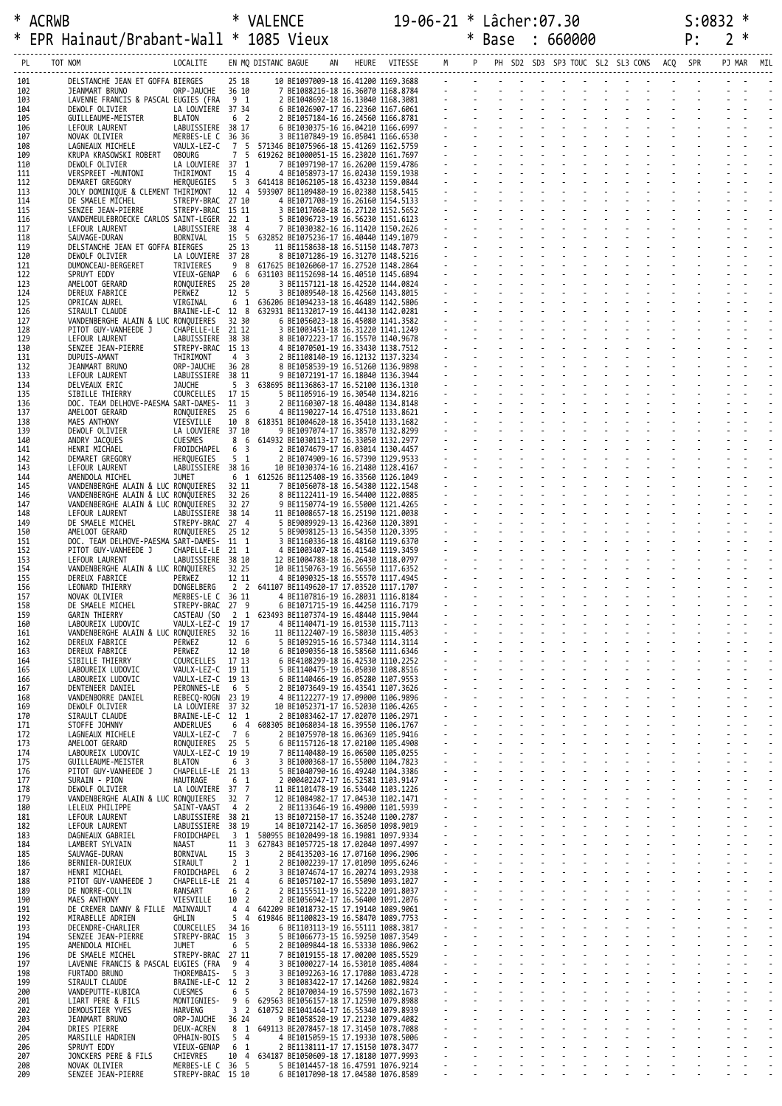| $^{\ast}$  | <b>ACRWB</b>                                                                    |                                   |                         |                                                                                                                                                                                                                                                                                                                                                                                 |  | 19-06-21 * Lâcher:07.30 |                 |                                 |  |  |  | S:0832     |  |
|------------|---------------------------------------------------------------------------------|-----------------------------------|-------------------------|---------------------------------------------------------------------------------------------------------------------------------------------------------------------------------------------------------------------------------------------------------------------------------------------------------------------------------------------------------------------------------|--|-------------------------|-----------------|---------------------------------|--|--|--|------------|--|
| ∗          | ACRWB * VALENCE 19-06-2<br>EPR Hainaut/Brabant-Wall * 1085 Vieux                |                                   |                         |                                                                                                                                                                                                                                                                                                                                                                                 |  |                         | * Base : 660000 | $rac{5.6}{P}$<br>$\overline{2}$ |  |  |  |            |  |
|            |                                                                                 |                                   |                         | $\begin{tabular}{ c c c c c c c c} \hline \textbf{1.5} & \textbf{0.5} & \textbf{0.5} & \textbf{0.5} & \textbf{0.5} & \textbf{0.5} & \textbf{0.5} & \textbf{0.5} & \textbf{0.5} & \textbf{0.5} & \textbf{0.5} & \textbf{0.5} & \textbf{0.5} & \textbf{0.5} & \textbf{0.5} & \textbf{0.5} & \textbf{0.5} & \textbf{0.5} & \textbf{0.5} & \textbf{0.5} & \textbf{0.5} & \textbf{0$ |  |                         |                 |                                 |  |  |  |            |  |
| PL         | TOT NOM<br>                                                                     |                                   |                         |                                                                                                                                                                                                                                                                                                                                                                                 |  |                         |                 |                                 |  |  |  | PJ MAR MIL |  |
| 101<br>102 | DELSTANCHE JEAN ET GOFFA BIERGES<br>ORP-JAUCHE 36 10<br>JEANMART BRUNO          | 25 18                             |                         |                                                                                                                                                                                                                                                                                                                                                                                 |  |                         |                 |                                 |  |  |  |            |  |
| 103        | LAVENNE FRANCIS & PASCAL EUGIES (FRA 9 1                                        |                                   |                         |                                                                                                                                                                                                                                                                                                                                                                                 |  |                         |                 |                                 |  |  |  |            |  |
| 104<br>105 | LA LOUVIERE 37 34<br>DEWOLF OLIVIER<br>GUILLEAUME-MEISTER<br>BLATON             |                                   | 6 <sup>2</sup>          |                                                                                                                                                                                                                                                                                                                                                                                 |  |                         |                 |                                 |  |  |  |            |  |
| 106        | LABUISSIERE 38 17<br>LEFOUR LAURENT                                             |                                   |                         |                                                                                                                                                                                                                                                                                                                                                                                 |  |                         |                 |                                 |  |  |  |            |  |
| 107<br>108 | NOVAK OLIVIER<br>MERBES-LE C 36 36<br>LAGNEAUX MICHELE<br>VAULX-LEZ-C           |                                   |                         | 7 5 571346 BE1075966-18 15.41269 1162.5759                                                                                                                                                                                                                                                                                                                                      |  |                         |                 |                                 |  |  |  |            |  |
| 109        | KRUPA KRASOWSKI ROBERT<br>OBOURG                                                | 7 5                               |                         | 619262 BE1000051-15 16.23020 1161.7697                                                                                                                                                                                                                                                                                                                                          |  |                         |                 |                                 |  |  |  |            |  |
| 110<br>111 | LA LOUVIERE 37 1<br>DEWOLF OLIVIER<br>VERSPREET -MUNTONI<br>THIRIMONT           | 15 4                              |                         |                                                                                                                                                                                                                                                                                                                                                                                 |  |                         |                 |                                 |  |  |  |            |  |
| 112<br>113 | HERQUEGIES<br>DEMARET GREGORY<br>JOLY DOMINIQUE & CLEMENT THIRIMONT             | 12 4                              |                         | 5 3 641418 BE1062105-18 16.43230 1159.0844                                                                                                                                                                                                                                                                                                                                      |  |                         |                 |                                 |  |  |  |            |  |
| 114        | DE SMAELE MICHEL<br>STREPY-BRAC 27 10                                           |                                   |                         |                                                                                                                                                                                                                                                                                                                                                                                 |  |                         |                 |                                 |  |  |  |            |  |
| 115<br>116 | STREPY-BRAC 15 11<br>SENZEE JEAN-PIERRE<br>VANDEMEULEBROECKE CARLOS SAINT-LEGER | $22 \quad 1$                      |                         |                                                                                                                                                                                                                                                                                                                                                                                 |  |                         |                 |                                 |  |  |  |            |  |
| 117        | LEFOUR LAURENT<br>LABUISSIERE                                                   | 38 4                              |                         |                                                                                                                                                                                                                                                                                                                                                                                 |  |                         |                 |                                 |  |  |  |            |  |
| 118<br>119 | SAUVAGE-DURAN<br>BORNIVAL<br>DELSTANCHE JEAN ET GOFFA BIERGES                   | 25 13                             |                         | 15 5 632852 BE1075236-17 16.40440 1149.1079                                                                                                                                                                                                                                                                                                                                     |  |                         |                 |                                 |  |  |  |            |  |
| 120<br>121 | DEWOLF OLIVIER<br>LA LOUVIERE 37 28<br>TRIVIERES<br>DUMONCEAU-BERGERET          |                                   | 9 8                     |                                                                                                                                                                                                                                                                                                                                                                                 |  |                         |                 |                                 |  |  |  |            |  |
| 122        | SPRUYT EDDY<br>VIEUX-GENAP                                                      |                                   | 6 6                     |                                                                                                                                                                                                                                                                                                                                                                                 |  |                         |                 |                                 |  |  |  |            |  |
| 123<br>124 | AMELOOT GERARD<br>RONQUIERES<br>DEREUX FABRICE<br>PERWEZ                        | 25 20<br>12 5                     |                         |                                                                                                                                                                                                                                                                                                                                                                                 |  |                         |                 |                                 |  |  |  |            |  |
| 125        | OPRICAN AUREL<br>VIRGINAL                                                       |                                   |                         | 6 1 636206 BE1094233-18 16.46489 1142.5806                                                                                                                                                                                                                                                                                                                                      |  |                         |                 |                                 |  |  |  |            |  |
| 126<br>127 | SIRAULT CLAUDE<br>BRAINE-LE-C 12 8<br>VANDENBERGHE ALAIN & LUC RONQUIERES       | 32 30                             |                         |                                                                                                                                                                                                                                                                                                                                                                                 |  |                         |                 |                                 |  |  |  |            |  |
| 128        | PITOT GUY-VANHEEDE J<br>CHAPELLE-LE                                             | 21 12                             |                         |                                                                                                                                                                                                                                                                                                                                                                                 |  |                         |                 |                                 |  |  |  |            |  |
| 129<br>130 | LABUISSIERE 38 38<br>LEFOUR LAURENT<br>SENZEE JEAN-PIERRE<br>STREPY-BRAC 15 13  |                                   |                         |                                                                                                                                                                                                                                                                                                                                                                                 |  |                         |                 |                                 |  |  |  |            |  |
| 131        | DUPUIS-AMANT<br>THIRIMONT                                                       | 4 <sup>3</sup>                    |                         |                                                                                                                                                                                                                                                                                                                                                                                 |  |                         |                 |                                 |  |  |  |            |  |
| 132<br>133 | JEANMART BRUNO<br>ORP-JAUCHE<br>LABUISSIERE 38 11<br>LEFOUR LAURENT             | 36 28                             |                         |                                                                                                                                                                                                                                                                                                                                                                                 |  |                         |                 |                                 |  |  |  |            |  |
| 134        | DELVEAUX ERIC<br><b>JAUCHE</b>                                                  |                                   | 5 3                     |                                                                                                                                                                                                                                                                                                                                                                                 |  |                         |                 |                                 |  |  |  |            |  |
| 135<br>136 | COURCELLES 17 15<br>SIBILLE THIERRY<br>DOC. TEAM DELHOVE-PAESMA SART-DAMES-     | 11 3                              |                         |                                                                                                                                                                                                                                                                                                                                                                                 |  |                         |                 |                                 |  |  |  |            |  |
| 137        | AMELOOT GERARD<br>RONQUIERES                                                    | 256                               |                         |                                                                                                                                                                                                                                                                                                                                                                                 |  |                         |                 |                                 |  |  |  |            |  |
| 138<br>139 | MAES ANTHONY<br>VIESVILLE<br>DEWOLF OLIVIER<br>LA LOUVIERE 37 10                | 10 8                              |                         |                                                                                                                                                                                                                                                                                                                                                                                 |  |                         |                 |                                 |  |  |  |            |  |
| 140<br>141 | ANDRY JACQUES<br>CUESMES<br>HENRI MICHAEL<br>FROIDCHAPEL                        | 6 3                               | 8 6                     |                                                                                                                                                                                                                                                                                                                                                                                 |  |                         |                 |                                 |  |  |  |            |  |
| 142        | HERQUEGIES<br>DEMARET GREGORY                                                   | 5 <sub>1</sub>                    |                         |                                                                                                                                                                                                                                                                                                                                                                                 |  |                         |                 |                                 |  |  |  |            |  |
| 143<br>144 | LABUISSIERE<br>LEFOUR LAURENT<br>AMENDOLA MICHEL<br><b>JUMET</b>                | 38 16                             |                         | 6 1 612526 BE1125408-19 16.33560 1126.1049                                                                                                                                                                                                                                                                                                                                      |  |                         |                 |                                 |  |  |  |            |  |
| 145        | VANDENBERGHE ALAIN & LUC RONQUIERES                                             | 32 11                             |                         |                                                                                                                                                                                                                                                                                                                                                                                 |  |                         |                 |                                 |  |  |  |            |  |
| 146<br>147 | VANDENBERGHE ALAIN & LUC RONQUIERES<br>VANDENBERGHE ALAIN & LUC RONQUIERES      | 32 26<br>32 27                    |                         |                                                                                                                                                                                                                                                                                                                                                                                 |  |                         |                 |                                 |  |  |  |            |  |
| 148        | LEFOUR LAURENT<br>LABUISSIERE                                                   | 38 14                             |                         |                                                                                                                                                                                                                                                                                                                                                                                 |  |                         |                 |                                 |  |  |  |            |  |
| 149<br>150 | DE SMAELE MICHEL<br>STREPY-BRAC<br>RONQUIERES<br>AMELOOT GERARD                 | 27 4<br>25 12                     |                         |                                                                                                                                                                                                                                                                                                                                                                                 |  |                         |                 |                                 |  |  |  |            |  |
| 151        | DOC. TEAM DELHOVE-PAESMA SART-DAMES-<br>PITOT GUY-VANHEEDE J<br>CHAPELLE-LE     | 11 1<br>21 1                      |                         |                                                                                                                                                                                                                                                                                                                                                                                 |  |                         |                 |                                 |  |  |  |            |  |
| 152<br>153 | LABUISSIERE<br>LEFOUR LAURENT                                                   | 38 10                             |                         |                                                                                                                                                                                                                                                                                                                                                                                 |  |                         |                 |                                 |  |  |  |            |  |
| 154<br>155 | VANDENBERGHE ALAIN & LUC RONOUIERES<br>DEREUX FABRICE<br>PERWEZ                 | 32 25<br>12 11                    |                         |                                                                                                                                                                                                                                                                                                                                                                                 |  |                         |                 |                                 |  |  |  |            |  |
| 156        | LEONARD THIERRY<br>DONGELBERG                                                   |                                   |                         | 2 2 641107 BE1149620-17 17.03520 1117.1707                                                                                                                                                                                                                                                                                                                                      |  |                         |                 |                                 |  |  |  |            |  |
| 157<br>158 | MERBES-LE C 36 11<br>NOVAK OLIVIER<br>DE SMAELE MICHEL<br>STREPY-BRAC 27 9      |                                   |                         | 4 BE1107816-19 16.28031 1116.8184<br>6 BE1071715-19 16.44250 1116.7179                                                                                                                                                                                                                                                                                                          |  |                         |                 |                                 |  |  |  |            |  |
| 159        | CASTEAU (SO<br><b>GARIN THIERRY</b>                                             | 2 1                               |                         | 623493 BE1107374-19 16.48440 1115.9044                                                                                                                                                                                                                                                                                                                                          |  |                         |                 |                                 |  |  |  |            |  |
| 160<br>161 | VAULX-LEZ-C 19 17<br>LABOUREIX LUDOVIC<br>VANDENBERGHE ALAIN & LUC RONQUIERES   | 32 16                             |                         | 4 BE1140471-19 16.01530 1115.7113<br>11 BE1122407-19 16.58030 1115.4053                                                                                                                                                                                                                                                                                                         |  |                         |                 |                                 |  |  |  |            |  |
| 162        | DEREUX FABRICE<br>PERWEZ                                                        | 12 6                              |                         | 5 BE1092915-16 16.57340 1114.3114                                                                                                                                                                                                                                                                                                                                               |  |                         |                 |                                 |  |  |  |            |  |
| 163<br>164 | PERWEZ<br><b>DEREUX FABRICE</b><br>COURCELLES 17 13<br>SIBILLE THIERRY          | 12 10                             |                         | 6 BE1090356-18 16.58560 1111.6346<br>6 BE4108299-18 16.42530 1110.2252                                                                                                                                                                                                                                                                                                          |  |                         |                 |                                 |  |  |  |            |  |
| 165        | VAULX-LEZ-C 19 11<br>LABOUREIX LUDOVIC<br>VAULX-LEZ-C 19 13                     |                                   |                         | 5 BE1140475-19 16.05030 1108.8516                                                                                                                                                                                                                                                                                                                                               |  | $\blacksquare$          |                 |                                 |  |  |  |            |  |
| 166<br>167 | LABOUREIX LUDOVIC<br>DENTENEER DANIEL<br>PERONNES-LE                            | 65                                |                         | 6 BE1140466-19 16.05280 1107.9553<br>2 BE1073649-19 16.43541 1107.3626                                                                                                                                                                                                                                                                                                          |  | $\blacksquare$          |                 |                                 |  |  |  |            |  |
| 168<br>169 | REBECQ-ROGN 23 19<br>VANDENBORRE DANIEL<br>LA LOUVIERE 37 32<br>DEWOLF OLIVIER  |                                   |                         | 4 BE1122277-19 17.09000 1106.9896<br>10 BE1052371-17 16.52030 1106.4265                                                                                                                                                                                                                                                                                                         |  | $\blacksquare$          |                 |                                 |  |  |  |            |  |
| 170        | SIRAULT CLAUDE<br>BRAINE-LE-C 12 1                                              |                                   |                         | 2 BE1083462-17 17.02070 1106.2971                                                                                                                                                                                                                                                                                                                                               |  |                         |                 |                                 |  |  |  |            |  |
| 171<br>172 | STOFFE JOHNNY<br>ANDERLUES<br>VAULX-LEZ-C<br>LAGNEAUX MICHELE                   | 6<br>$7^{\circ}$                  | $\overline{4}$<br>6     | 608305 BE1068034-18 16.39550 1106.1767<br>2 BE1075970-18 16.06369 1105.9416                                                                                                                                                                                                                                                                                                     |  | $\blacksquare$          |                 |                                 |  |  |  |            |  |
| 173        | RONQUIERES<br>AMELOOT GERARD                                                    | 25 <sub>5</sub>                   |                         | 6 BE1157126-18 17.02100 1105.4908                                                                                                                                                                                                                                                                                                                                               |  |                         |                 |                                 |  |  |  |            |  |
| 174<br>175 | VAULX-LEZ-C 19 19<br>LABOUREIX LUDOVIC<br>GUILLEAUME-MEISTER<br><b>BLATON</b>   | 6 <sup>3</sup>                    |                         | 7 BE1140480-19 16.06500 1105.0255<br>3 BE1000368-17 16.55000 1104.7823                                                                                                                                                                                                                                                                                                          |  | $\blacksquare$          |                 |                                 |  |  |  |            |  |
| 176        | CHAPELLE-LE 21 13<br>PITOT GUY-VANHEEDE J<br>HAUTRAGE                           |                                   | 6 1                     | 5 BE1040790-16 16.49240 1104.3386                                                                                                                                                                                                                                                                                                                                               |  |                         |                 |                                 |  |  |  |            |  |
| 177<br>178 | SURAIN - PION<br>LA LOUVIERE 37 7<br>DEWOLF OLIVIER                             |                                   |                         | 2 000402247-17 16.52581 1103.9147<br>11 BE1101478-19 16.53440 1103.1226                                                                                                                                                                                                                                                                                                         |  |                         |                 |                                 |  |  |  |            |  |
| 179<br>180 | VANDENBERGHE ALAIN & LUC RONQUIERES<br>SAINT-VAAST<br>LELEUX PHILIPPE           | 32 7<br>4 2                       |                         | 12 BE1084982-17 17.04530 1102.1471<br>2 BE1133646-19 16.49000 1101.5939                                                                                                                                                                                                                                                                                                         |  | $\omega$                |                 |                                 |  |  |  |            |  |
| 181        | LABUISSIERE 38 21<br>LEFOUR LAURENT                                             |                                   |                         | 13 BE1072150-17 16.35240 1100.2787                                                                                                                                                                                                                                                                                                                                              |  |                         |                 |                                 |  |  |  |            |  |
| 182<br>183 | LABUISSIERE<br>LEFOUR LAURENT<br>FROIDCHAPEL<br>DAGNEAUX GABRIEL                | 38 19<br>3 1                      |                         | 14 BE1072142-17 16.36050 1098.9019<br>580955 BE1020499-18 16.19081 1097.9334                                                                                                                                                                                                                                                                                                    |  | $\blacksquare$          |                 |                                 |  |  |  |            |  |
| 184        | LAMBERT SYLVAIN<br>NAAST                                                        | 11                                | $\overline{\mathbf{3}}$ | 627843 BE1057725-18 17.02040 1097.4997                                                                                                                                                                                                                                                                                                                                          |  |                         |                 |                                 |  |  |  |            |  |
| 185<br>186 | SAUVAGE-DURAN<br>BORNIVAL<br>BERNIER-DURIEUX<br>SIRAULT                         | 15 <sup>3</sup><br>2 <sub>1</sub> |                         | 2 BE4135203-16 17.07160 1096.2906<br>2 BE1002239-17 17.01090 1095.6246                                                                                                                                                                                                                                                                                                          |  |                         |                 |                                 |  |  |  |            |  |
| 187        | FROIDCHAPEL<br>HENRI MICHAEL                                                    | 6                                 | $\overline{2}$          | 3 BE1074674-17 16.20274 1093.2938                                                                                                                                                                                                                                                                                                                                               |  |                         |                 |                                 |  |  |  |            |  |
| 188<br>189 | CHAPELLE-LE 21 4<br>PITOT GUY-VANHEEDE J<br>DE NORRE-COLLIN<br>RANSART          | 6                                 | $\overline{2}$          | 6 BE1057102-17 16.55090 1093.1027<br>2 BE1155511-19 16.52220 1091.8037                                                                                                                                                                                                                                                                                                          |  | ÷,                      |                 |                                 |  |  |  |            |  |
| 190<br>191 | VIESVILLE<br>MAES ANTHONY<br>DE CREMER DANNY & FILLE MAINVAULT                  | 10 2<br>$4\quad 4$                |                         | 2 BE1056942-17 16.56400 1091.2076<br>642209 BE1018732-15 17.19140 1089.9061                                                                                                                                                                                                                                                                                                     |  |                         |                 |                                 |  |  |  |            |  |
| 192        | MIRABELLE ADRIEN<br>GHLIN                                                       | 5 4                               |                         | 619846 BE1100823-19 16.58470 1089.7753                                                                                                                                                                                                                                                                                                                                          |  |                         |                 |                                 |  |  |  |            |  |
| 193<br>194 | DECENDRE-CHARLIER<br>COURCELLES<br>STREPY-BRAC 15 3<br>SENZEE JEAN-PIERRE       | 34 16                             |                         | 6 BE1103113-19 16.55111 1088.3817<br>5 BE1066773-15 16.59250 1087.3549                                                                                                                                                                                                                                                                                                          |  |                         |                 |                                 |  |  |  |            |  |
| 195        | AMENDOLA MICHEL<br><b>JUMET</b>                                                 |                                   | 6 <sub>5</sub>          | 2 BE1009844-18 16.53330 1086.9062                                                                                                                                                                                                                                                                                                                                               |  | $\blacksquare$          |                 |                                 |  |  |  |            |  |
| 196<br>197 | STREPY-BRAC 27 11<br>DE SMAELE MICHEL<br>LAVENNE FRANCIS & PASCAL EUGIES (FRA   | 94                                |                         | 7 BE1019155-18 17.00200 1085.5529<br>3 BE1000227-14 16.53010 1085.4084                                                                                                                                                                                                                                                                                                          |  |                         |                 |                                 |  |  |  |            |  |
| 198        | THOREMBAIS-<br>FURTADO BRUNO                                                    | 5                                 | $\overline{\mathbf{3}}$ | 3 BE1092263-16 17.17080 1083.4728                                                                                                                                                                                                                                                                                                                                               |  |                         |                 |                                 |  |  |  |            |  |
| 199<br>200 | BRAINE-LE-C 12 2<br>SIRAULT CLAUDE<br><b>CUESMES</b><br>VANDEPUTTE-KUBICA       | 6                                 | 5                       | 3 BE1083422-17 17.14260 1082.9824<br>2 BE1070034-19 16.57590 1082.1673                                                                                                                                                                                                                                                                                                          |  |                         |                 |                                 |  |  |  |            |  |
| 201        | LIART PERE & FILS<br>MONTIGNIES-                                                | 9                                 | 6                       | 629563 BE1056157-18 17.12590 1079.8988                                                                                                                                                                                                                                                                                                                                          |  | ÷,                      |                 |                                 |  |  |  |            |  |
| 202<br>203 | DEMOUSTIER YVES<br>HARVENG<br>JEANMART BRUNO<br>ORP-JAUCHE                      | 36 24                             | 3 <sub>2</sub>          | 610752 BE1041464-17 16.55340 1079.8939<br>9 BE1058520-19 17.21230 1079.4082                                                                                                                                                                                                                                                                                                     |  | $\omega$                |                 |                                 |  |  |  |            |  |
| 204<br>205 | DRIES PIERRE<br>DEUX-ACREN<br>MARSILLE HADRIEN<br>OPHAIN-BOIS                   | 8 1<br>5 <sub>4</sub>             |                         | 649113 BE2078457-18 17.31450 1078.7088<br>4 BE1015059-15 17.19330 1078.5006                                                                                                                                                                                                                                                                                                     |  |                         |                 |                                 |  |  |  |            |  |
| 206        | SPRUYT EDDY<br>VIEUX-GENAP                                                      | 6 1                               |                         | 2 BE1138111-17 17.15150 1078.3477                                                                                                                                                                                                                                                                                                                                               |  |                         |                 |                                 |  |  |  |            |  |
| 207<br>208 | JONCKERS PERE & FILS<br>CHIEVRES<br>MERBES-LE C 36 5<br>NOVAK OLIVIER           | 10                                | 4                       | 634187 BE1050609-18 17.18180 1077.9993<br>5 BE1014457-18 16.47591 1076.9214                                                                                                                                                                                                                                                                                                     |  | $\blacksquare$          |                 |                                 |  |  |  |            |  |
| 209        | SENZEE JEAN-PIERRE<br>STREPY-BRAC 15 10                                         |                                   |                         | 6 BE1017090-18 17.04580 1076.8589                                                                                                                                                                                                                                                                                                                                               |  |                         |                 |                                 |  |  |  |            |  |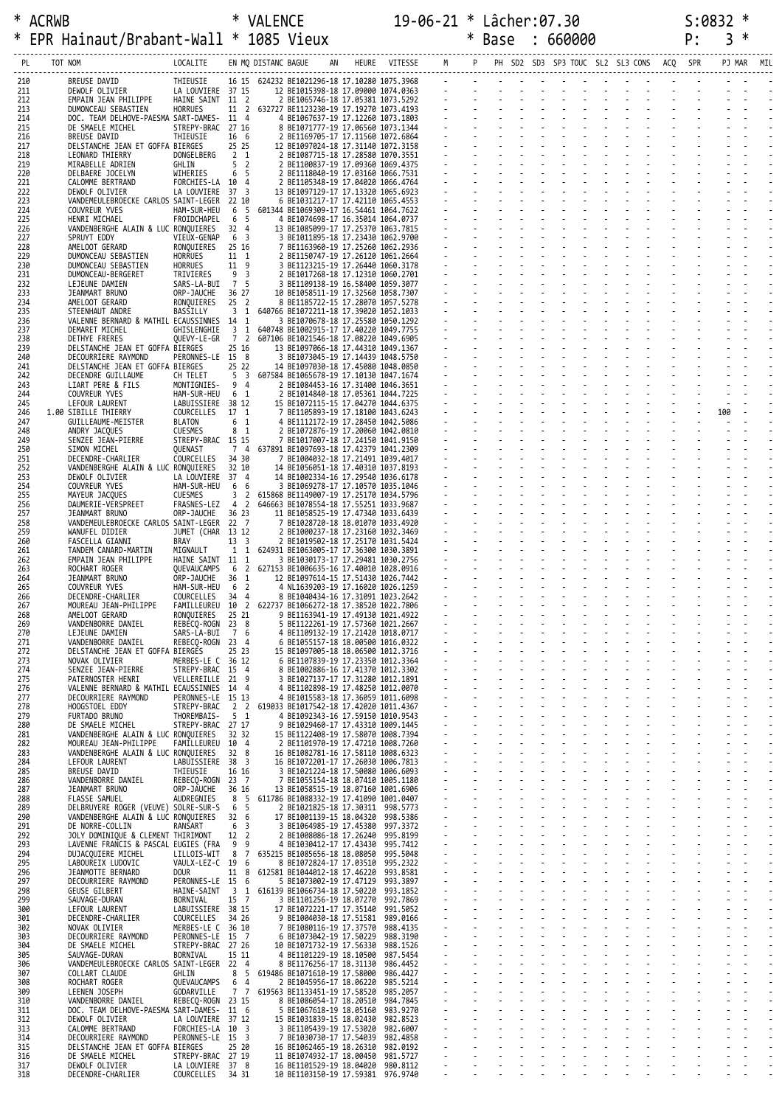| *          | ACRWB                                                                                           |                                  |                                                    |                                                                                             |                      |  |  |  |  |  |  |  |  |
|------------|-------------------------------------------------------------------------------------------------|----------------------------------|----------------------------------------------------|---------------------------------------------------------------------------------------------|----------------------|--|--|--|--|--|--|--|--|
| ∗          |                                                                                                 |                                  |                                                    |                                                                                             |                      |  |  |  |  |  |  |  |  |
| PL         |                                                                                                 |                                  |                                                    |                                                                                             |                      |  |  |  |  |  |  |  |  |
| 210        | THIEUSIE                                                                                        |                                  |                                                    |                                                                                             |                      |  |  |  |  |  |  |  |  |
| 211<br>212 | BREUSE DAVID<br>DEWOLF OLIVIER<br>LA LOUVIERE 37 15<br>EMPAIN JEAN PHILIPPE<br>HAINE SAINT 11 2 |                                  |                                                    |                                                                                             |                      |  |  |  |  |  |  |  |  |
| 213<br>214 | <b>HORRUES</b><br>DUMONCEAU SEBASTIEN<br>DOC. TEAM DELHOVE-PAESMA SART-DAMES- 11 4              |                                  |                                                    |                                                                                             |                      |  |  |  |  |  |  |  |  |
| 215        | STREPY-BRAC 27 16<br>DE SMAELE MICHEL                                                           |                                  |                                                    |                                                                                             |                      |  |  |  |  |  |  |  |  |
| 216<br>217 | BREUSE DAVID<br>THIEUSIE<br>DELSTANCHE JEAN ET GOFFA BIERGES                                    |                                  |                                                    |                                                                                             |                      |  |  |  |  |  |  |  |  |
| 218<br>219 | LEONARD THIERRY<br>DONGELBERG<br>GHLIN<br>MIRABELLE ADRIEN                                      |                                  |                                                    |                                                                                             |                      |  |  |  |  |  |  |  |  |
| 220<br>221 | DELBAERE JOCELYN<br>WIHERIES<br>CALOMME BERTRAND<br>FORCHIES-LA 10 4                            |                                  |                                                    |                                                                                             |                      |  |  |  |  |  |  |  |  |
| 222<br>223 | DEWOLF OLIVIER<br>LA LOUVIERE 37 3<br>VANDEMEULEBROECKE CARLOS SAINT-LEGER 22 10                |                                  |                                                    |                                                                                             |                      |  |  |  |  |  |  |  |  |
| 224        | HAM-SUR-HEU<br>COUVREUR YVES                                                                    |                                  |                                                    |                                                                                             |                      |  |  |  |  |  |  |  |  |
| 225<br>226 | HENRI MICHAEL<br>FROIDCHAPEL<br>VANDENBERGHE ALAIN & LUC RONQUIERES                             |                                  |                                                    |                                                                                             |                      |  |  |  |  |  |  |  |  |
| 227<br>228 | VIEUX-GENAP<br>SPRUYT EDDY<br>AMELOOT GERARD<br>RONQUIERES                                      |                                  |                                                    |                                                                                             |                      |  |  |  |  |  |  |  |  |
| 229<br>230 | DUMONCEAU SEBASTIEN<br>HORRUES<br>DUMONCEAU SEBASTIEN<br>HORRUES                                |                                  |                                                    |                                                                                             |                      |  |  |  |  |  |  |  |  |
| 231<br>232 | DUMONCEAU-BERGERET<br>TRIVIERES<br>LEJEUNE DAMIEN<br>SARS-LA-BUI                                |                                  |                                                    |                                                                                             |                      |  |  |  |  |  |  |  |  |
| 233<br>234 | JEANMART BRUNO<br>ORP-JAUCHE<br>AMELOOT GERARD<br>RONQUIERES                                    |                                  |                                                    |                                                                                             |                      |  |  |  |  |  |  |  |  |
| 235<br>236 | STEENHAUT ANDRE<br>BASSILLY<br>VALENNE BERNARD & MATHIL ECAUSSINNES 14 1                        |                                  |                                                    |                                                                                             |                      |  |  |  |  |  |  |  |  |
| 237        | DEMARET MICHEL<br>GHISLENGHIE                                                                   |                                  |                                                    |                                                                                             |                      |  |  |  |  |  |  |  |  |
| 238<br>239 | DETHYE FRERES<br>OUEVY-LE-GR<br>DELSTANCHE JEAN ET GOFFA BIERGES                                |                                  |                                                    |                                                                                             |                      |  |  |  |  |  |  |  |  |
| 240<br>241 | PERONNES-LE 15 8<br>DECOURRIERE RAYMOND<br>DELSTANCHE JEAN ET GOFFA BIERGES                     |                                  |                                                    |                                                                                             |                      |  |  |  |  |  |  |  |  |
| 242<br>243 | DECENDRE GUILLAUME<br>CH TELET<br>MONTIGNIES- 9 4<br>LIART PERE & FILS                          |                                  |                                                    |                                                                                             |                      |  |  |  |  |  |  |  |  |
| 244<br>245 | COUVREUR YVES<br>HAM-SUR-HEU 6 1<br>LABUISSIERE 38 12<br>LEFOUR LAURENT                         |                                  |                                                    |                                                                                             |                      |  |  |  |  |  |  |  |  |
| 246        | COURCELLES 17 1<br>1.00 SIBILLE THIERRY                                                         |                                  |                                                    |                                                                                             |                      |  |  |  |  |  |  |  |  |
| 247<br>248 | BLATON<br>GUILLEAUME-MEISTER<br>ANDRY JACQUES<br>CUESMES                                        |                                  |                                                    |                                                                                             |                      |  |  |  |  |  |  |  |  |
| 249<br>250 | SENZEE JEAN-PIERRE<br>STREPY-BRAC 15 15<br>QUENAST<br>SIMON MICHEL                              |                                  |                                                    |                                                                                             |                      |  |  |  |  |  |  |  |  |
| 251<br>252 | COURCELLES<br>DECENDRE-CHARLIER<br>VANDENBERGHE ALAIN & LUC RONQUIERES                          |                                  |                                                    |                                                                                             |                      |  |  |  |  |  |  |  |  |
| 253<br>254 | LA LOUVIERE 37 4<br>DEWOLF OLIVIER<br>COUVREUR YVES<br>HAM-SUR-HEU                              |                                  |                                                    |                                                                                             |                      |  |  |  |  |  |  |  |  |
| 255        | CUESMES<br>MAYEUR JACQUES                                                                       |                                  |                                                    |                                                                                             |                      |  |  |  |  |  |  |  |  |
| 256<br>257 | DAUMERIE-VERSPREET<br>FRASNES-LEZ<br>ORP-JAUCHE<br>JEANMART BRUNO                               | 36 23                            |                                                    | 4 2 646663 BE1078554-18 17.55251 1033.9687<br>11 BE1058525-19 17.47340 1033.6439            |                      |  |  |  |  |  |  |  |  |
| 258<br>259 | VANDEMEULEBROECKE CARLOS SAINT-LEGER 22 7<br>JUMET (CHAR 13 12<br>WANUFEL DIDIER                |                                  |                                                    | 7 BE1028720-18 18.01070 1033.4920<br>2 BE1000237-18 17.23160 1032.3469                      |                      |  |  |  |  |  |  |  |  |
| 260<br>261 | FASCELLA GIANNI<br>BRAY<br>TANDEM CANARD-MARTIN<br>MIGNAULT                                     | 13 <sup>3</sup>                  |                                                    | 2 BE1019502-18 17.25170 1031.5424<br>1 1 624931 BE1063005-17 17.36300 1030.3891             |                      |  |  |  |  |  |  |  |  |
| 262<br>263 | EMPAIN JEAN PHILIPPE<br>HAINE SAINT 11 1<br>ROCHART ROGER                                       |                                  |                                                    | 3 BE1030173-17 17.29481 1030.2756<br>QUEVAUCAMPS 6 2 627153 BE1006635-16 17.40010 1028.0916 |                      |  |  |  |  |  |  |  |  |
| 264<br>265 | ORP-JAUCHE 36 1<br>JEANMART BRUNO<br>COUVREUR YVES<br>HAM-SUR-HEU 6 2                           |                                  |                                                    | 12 BE1097614-15 17.51430 1026.7442<br>4 NL1639203-19 17.16020 1026.1259                     |                      |  |  |  |  |  |  |  |  |
| 266        | COURCELLES 34 4<br>DECENDRE-CHARLIER                                                            |                                  |                                                    | 8 BE1040434-16 17.31091 1023.2642                                                           |                      |  |  |  |  |  |  |  |  |
| 267<br>268 | MOUREAU JEAN-PHILIPPE<br>FAMILLEUREU 10 2<br>AMELOOT GERARD<br>RONQUIERES                       | 25 21                            |                                                    | 622737 BE1066272-18 17.38520 1022.7806<br>9 BE1163941-19 17.49130 1021.4922                 |                      |  |  |  |  |  |  |  |  |
| 269<br>270 | REBECQ-ROGN 23 8<br>VANDENBORRE DANIEL<br>SARS-LA-BUI<br>LEJEUNE DAMIEN                         | $\overline{7}$                   | 6                                                  | 5 BE1122261-19 17.57360 1021.2667<br>4 BE1109132-19 17.21420 1018.0717                      |                      |  |  |  |  |  |  |  |  |
| 271<br>272 | VANDENBORRE DANIEL<br>REBECO-ROGN 23<br>DELSTANCHE JEAN ET GOFFA BIERGES                        | 25 23                            | $\overline{4}$                                     | 6 BE1055157-18 18.00500 1016.0322<br>15 BE1097005-18 18.06500 1012.3716                     |                      |  |  |  |  |  |  |  |  |
| 273<br>274 | MERBES-LE C 36 12<br>NOVAK OLIVIER<br>SENZEE JEAN-PIERRE<br>STREPY-BRAC 15 4                    |                                  |                                                    | 6 BE1107839-19 17.23350 1012.3364<br>8 BE1002886-16 17.41370 1012.3302                      |                      |  |  |  |  |  |  |  |  |
| 275<br>276 | VELLEREILLE 21 9<br>PATERNOSTER HENRI<br>VALENNE BERNARD & MATHIL ECAUSSINNES 14 4              |                                  |                                                    | 3 BE1027137-17 17.31280 1012.1891<br>4 BE1102898-19 17.48250 1012.0070                      |                      |  |  |  |  |  |  |  |  |
| 277        | PERONNES-LE 15 13<br>DECOURRIERE RAYMOND                                                        |                                  |                                                    | 4 BE1015583-18 17.36059 1011.6098                                                           |                      |  |  |  |  |  |  |  |  |
| 278<br>279 | STREPY-BRAC<br>HOOGSTOEL EDDY<br>THOREMBAIS-<br>FURTADO BRUNO                                   | 2 <sub>2</sub><br>5 <sub>1</sub> |                                                    | 619033 BE1017542-18 17.42020 1011.4367<br>4 BE1092343-16 17.59150 1010.9543                 |                      |  |  |  |  |  |  |  |  |
| 280<br>281 | STREPY-BRAC 27 17<br>DE SMAELE MICHEL<br>VANDENBERGHE ALAIN & LUC RONQUIERES                    | 32 32                            |                                                    | 9 BE1029460-17 17.43310 1009.1445<br>15 BE1122408-19 17.58070 1008.7394                     |                      |  |  |  |  |  |  |  |  |
| 282<br>283 | MOUREAU JEAN-PHILIPPE<br>FAMILLEUREU 10 4<br>VANDENBERGHE ALAIN & LUC RONQUIERES                | 32 8                             |                                                    | 2 BE1101970-19 17.47210 1008.7260<br>16 BE1082781-16 17.58110 1008.6323                     |                      |  |  |  |  |  |  |  |  |
| 284<br>285 | LEFOUR LAURENT<br>LABUISSIERE<br>THIEUSIE<br>BREUSE DAVID                                       | 38 3<br>16 16                    |                                                    | 16 BE1072201-17 17.26030 1006.7813<br>3 BE1021224-18 17.50080 1006.6093                     |                      |  |  |  |  |  |  |  |  |
| 286        | REBECQ-ROGN 23 7<br>VANDENBORRE DANIEL                                                          |                                  |                                                    | 7 BE1055154-18 18.07410 1005.1180                                                           |                      |  |  |  |  |  |  |  |  |
| 287<br>288 | ORP-JAUCHE<br>JEANMART BRUNO<br>AUDREGNIES<br>FLASSE SAMUEL                                     | 36 16<br>8                       | -5                                                 | 13 BE1058515-19 18.07160 1001.6906<br>611786 BE1088332-19 17.41090 1001.0407                |                      |  |  |  |  |  |  |  |  |
| 289<br>290 | DELBRUYERE ROGER (VEUVE) SOLRE-SUR-S<br>VANDENBERGHE ALAIN & LUC RONQUIERES                     | 6<br>32                          | 5<br>6                                             | 2 BE1021825-18 17.30311 998.5773<br>17 BE1001139-15 18.04320                                | 998.5386             |  |  |  |  |  |  |  |  |
| 291<br>292 | RANSART<br>DE NORRE-COLLIN<br>JOLY DOMINIQUE & CLEMENT THIRIMONT                                | 6<br>12 2                        | $\overline{\mathbf{3}}$                            | 3 BE1064985-19 17.45380<br>2 BE1008086-18 17.26240                                          | 997.3372<br>995.8199 |  |  |  |  |  |  |  |  |
| 293<br>294 | LAVENNE FRANCIS & PASCAL EUGIES (FRA<br>LILLOIS-WIT<br>DUJACQUIERE MICHEL                       | - 9<br>8                         | 9<br>$\overline{7}$                                | 4 BE1030412-17 17.43430<br>635215 BE1085656-18 18.08050                                     | 995.7412<br>995.5048 |  |  |  |  |  |  |  |  |
| 295        | VAULX-LEZ-C 19<br>LABOUREIX LUDOVIC<br><b>DOUR</b>                                              | 11 8                             | 6                                                  | 8 BE1072824-17 17.03510 995.2322<br>612581 BE1044012-18 17.46220                            | 993.8581             |  |  |  |  |  |  |  |  |
| 296<br>297 | JEANMOTTE BERNARD<br>PERONNES-LE 15 6<br>DECOURRIERE RAYMOND                                    |                                  |                                                    | 5 BE1073002-19 17.47129                                                                     | 993.3897             |  |  |  |  |  |  |  |  |
| 298<br>299 | HAINE-SAINT<br><b>GEUSE GILBERT</b><br>SAUVAGE-DURAN<br>BORNIVAL                                | $3\quad1$<br>15 7                |                                                    | 616139 BE1066734-18 17.50220<br>3 BE1101256-19 18.07270                                     | 993.1852<br>992.7869 |  |  |  |  |  |  |  |  |
| 300<br>301 | LABUISSIERE 38 15<br>LEFOUR LAURENT<br>DECENDRE-CHARLIER<br>COURCELLES                          | 34 26                            |                                                    | 17 BE1072221-17 17.35140<br>9 BE1004030-18 17.51581                                         | 991.5052<br>989.0166 |  |  |  |  |  |  |  |  |
| 302<br>303 | MERBES-LE C 36 10<br>NOVAK OLIVIER<br>PERONNES-LE 15 7<br>DECOURRIERE RAYMOND                   |                                  |                                                    | 7 BE1080116-19 17.37570<br>6 BE1073042-19 17.50229                                          | 988.4135<br>988.3190 |  |  |  |  |  |  |  |  |
| 304<br>305 | DE SMAELE MICHEL<br>STREPY-BRAC 27 26<br>SAUVAGE-DURAN<br>BORNIVAL                              | 15 11                            |                                                    | 10 BE1071732-19 17.56330<br>4 BE1101229-19 18.10500                                         | 988.1526<br>987.5454 |  |  |  |  |  |  |  |  |
| 306        | VANDEMEULEBROECKE CARLOS SAINT-LEGER 22 4                                                       |                                  |                                                    | 8 BE1176256-17 18.31130                                                                     | 986.4452             |  |  |  |  |  |  |  |  |
| 307<br>308 | COLLART CLAUDE<br>GHLIN<br>ROCHART ROGER<br><b>QUEVAUCAMPS</b>                                  | 8<br>6                           | 5<br>$\overline{4}$                                | 619486 BE1071610-19 17.58000<br>2 BE1045956-17 18.06220                                     | 986,4427<br>985.5214 |  |  |  |  |  |  |  |  |
| 309<br>310 | GODARVILLE<br>LEENEN JOSEPH<br>REBECQ-ROGN 23 15<br>VANDENBORRE DANIEL                          | 7 7                              |                                                    | 619563 BE1133451-19 17.58520<br>8 BE1086054-17 18.20510                                     | 985.2057<br>984.7845 |  |  |  |  |  |  |  |  |
| 311<br>312 | DOC. TEAM DELHOVE-PAESMA SART-DAMES- 11 6<br>DEWOLF OLIVIER<br>LA LOUVIERE 37 12                |                                  |                                                    | 5 BE1067618-19 18.05160<br>15 BE1031839-15 18.02430                                         | 983.9270<br>982.8523 |  |  |  |  |  |  |  |  |
| 313<br>314 | CALOMME BERTRAND<br>FORCHIES-LA 10<br>PERONNES-LE<br>DECOURRIERE RAYMOND                        | 15                               | $\overline{\mathbf{3}}$<br>$\overline{\mathbf{3}}$ | 3 BE1105439-19 17.53020<br>BE1030730-17 17.54039                                            | 982.6007<br>982.4858 |  |  |  |  |  |  |  |  |
| 315        | DELSTANCHE JEAN ET GOFFA BIERGES                                                                | 25 20                            |                                                    | 16 BE1062465-19 18.26310                                                                    | 982.0192             |  |  |  |  |  |  |  |  |
| 316<br>317 | DE SMAELE MICHEL<br>STREPY-BRAC 27 19<br>DEWOLF OLIVIER<br>LA LOUVIERE 37 8                     |                                  |                                                    | 11 BE1074932-17 18.00450 981.5727<br>16 BE1101529-19 18.04020                               | 980.8112             |  |  |  |  |  |  |  |  |
| 318        | COURCELLES 34 31<br>DECENDRE-CHARLIER                                                           |                                  |                                                    | 10 BE1103150-19 17.59381 976.9740                                                           |                      |  |  |  |  |  |  |  |  |